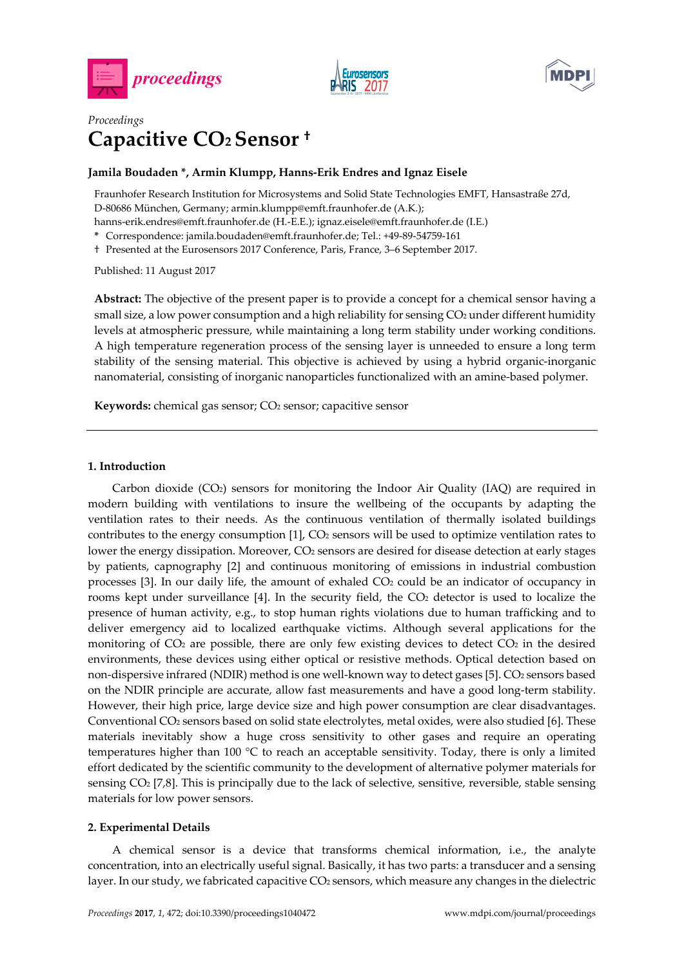





# *Proceedings*  **Capacitive CO2 Sensor †**

## **Jamila Boudaden \*, Armin Klumpp, Hanns-Erik Endres and Ignaz Eisele**

Fraunhofer Research Institution for Microsystems and Solid State Technologies EMFT, Hansastraße 27d, D-80686 München, Germany; armin.klumpp@emft.fraunhofer.de (A.K.);

hanns-erik.endres@emft.fraunhofer.de (H.-E.E.); ignaz.eisele@emft.fraunhofer.de (I.E.)

**\*** Correspondence: jamila.boudaden@emft.fraunhofer.de; Tel.: +49-89-54759-161

† Presented at the Eurosensors 2017 Conference, Paris, France, 3–6 September 2017.

Published: 11 August 2017

**Abstract:** The objective of the present paper is to provide a concept for a chemical sensor having a small size, a low power consumption and a high reliability for sensing CO<sub>2</sub> under different humidity levels at atmospheric pressure, while maintaining a long term stability under working conditions. A high temperature regeneration process of the sensing layer is unneeded to ensure a long term stability of the sensing material. This objective is achieved by using a hybrid organic-inorganic nanomaterial, consisting of inorganic nanoparticles functionalized with an amine-based polymer.

Keywords: chemical gas sensor; CO<sub>2</sub> sensor; capacitive sensor

## **1. Introduction**

Carbon dioxide  $(CO<sub>2</sub>)$  sensors for monitoring the Indoor Air Quality (IAQ) are required in modern building with ventilations to insure the wellbeing of the occupants by adapting the ventilation rates to their needs. As the continuous ventilation of thermally isolated buildings contributes to the energy consumption  $[1]$ ,  $CO<sub>2</sub>$  sensors will be used to optimize ventilation rates to lower the energy dissipation. Moreover, CO2 sensors are desired for disease detection at early stages by patients, capnography [2] and continuous monitoring of emissions in industrial combustion processes [3]. In our daily life, the amount of exhaled CO2 could be an indicator of occupancy in rooms kept under surveillance  $[4]$ . In the security field, the  $CO<sub>2</sub>$  detector is used to localize the presence of human activity, e.g., to stop human rights violations due to human trafficking and to deliver emergency aid to localized earthquake victims. Although several applications for the monitoring of  $CO<sub>2</sub>$  are possible, there are only few existing devices to detect  $CO<sub>2</sub>$  in the desired environments, these devices using either optical or resistive methods. Optical detection based on non-dispersive infrared (NDIR) method is one well-known way to detect gases [5]. CO2 sensors based on the NDIR principle are accurate, allow fast measurements and have a good long-term stability. However, their high price, large device size and high power consumption are clear disadvantages. Conventional CO2 sensors based on solid state electrolytes, metal oxides, were also studied [6]. These materials inevitably show a huge cross sensitivity to other gases and require an operating temperatures higher than 100 °C to reach an acceptable sensitivity. Today, there is only a limited effort dedicated by the scientific community to the development of alternative polymer materials for sensing CO2 [7,8]. This is principally due to the lack of selective, sensitive, reversible, stable sensing materials for low power sensors.

## **2. Experimental Details**

A chemical sensor is a device that transforms chemical information, i.e., the analyte concentration, into an electrically useful signal. Basically, it has two parts: a transducer and a sensing layer. In our study, we fabricated capacitive CO<sub>2</sub> sensors, which measure any changes in the dielectric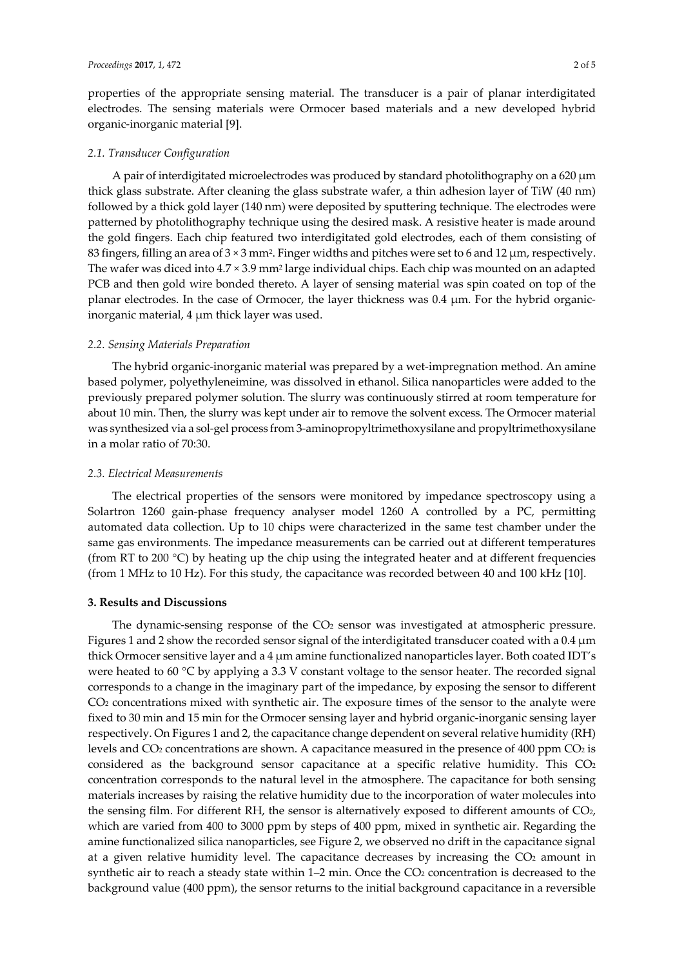properties of the appropriate sensing material. The transducer is a pair of planar interdigitated electrodes. The sensing materials were Ormocer based materials and a new developed hybrid organic-inorganic material [9].

#### *2.1. Transducer Configuration*

A pair of interdigitated microelectrodes was produced by standard photolithography on a 620 µm thick glass substrate. After cleaning the glass substrate wafer, a thin adhesion layer of TiW (40 nm) followed by a thick gold layer (140 nm) were deposited by sputtering technique. The electrodes were patterned by photolithography technique using the desired mask. A resistive heater is made around the gold fingers. Each chip featured two interdigitated gold electrodes, each of them consisting of 83 fingers, filling an area of 3 × 3 mm2. Finger widths and pitches were set to 6 and 12 µm, respectively. The wafer was diced into 4.7 × 3.9 mm2 large individual chips. Each chip was mounted on an adapted PCB and then gold wire bonded thereto. A layer of sensing material was spin coated on top of the planar electrodes. In the case of Ormocer, the layer thickness was 0.4 µm. For the hybrid organicinorganic material, 4 µm thick layer was used.

#### *2.2. Sensing Materials Preparation*

The hybrid organic-inorganic material was prepared by a wet-impregnation method. An amine based polymer, polyethyleneimine, was dissolved in ethanol. Silica nanoparticles were added to the previously prepared polymer solution. The slurry was continuously stirred at room temperature for about 10 min. Then, the slurry was kept under air to remove the solvent excess. The Ormocer material was synthesized via a sol-gel process from 3-aminopropyltrimethoxysilane and propyltrimethoxysilane in a molar ratio of 70:30.

#### *2.3. Electrical Measurements*

The electrical properties of the sensors were monitored by impedance spectroscopy using a Solartron 1260 gain-phase frequency analyser model 1260 A controlled by a PC, permitting automated data collection. Up to 10 chips were characterized in the same test chamber under the same gas environments. The impedance measurements can be carried out at different temperatures (from RT to 200 °C) by heating up the chip using the integrated heater and at different frequencies (from 1 MHz to 10 Hz). For this study, the capacitance was recorded between 40 and 100 kHz [10].

#### **3. Results and Discussions**

The dynamic-sensing response of the CO2 sensor was investigated at atmospheric pressure. Figures 1 and 2 show the recorded sensor signal of the interdigitated transducer coated with a 0.4 µm thick Ormocer sensitive layer and a  $4 \mu$ m amine functionalized nanoparticles layer. Both coated IDT's were heated to 60 °C by applying a 3.3 V constant voltage to the sensor heater. The recorded signal corresponds to a change in the imaginary part of the impedance, by exposing the sensor to different CO2 concentrations mixed with synthetic air. The exposure times of the sensor to the analyte were fixed to 30 min and 15 min for the Ormocer sensing layer and hybrid organic-inorganic sensing layer respectively. On Figures 1 and 2, the capacitance change dependent on several relative humidity (RH) levels and CO<sub>2</sub> concentrations are shown. A capacitance measured in the presence of 400 ppm CO<sub>2</sub> is considered as the background sensor capacitance at a specific relative humidity. This  $CO<sub>2</sub>$ concentration corresponds to the natural level in the atmosphere. The capacitance for both sensing materials increases by raising the relative humidity due to the incorporation of water molecules into the sensing film. For different RH, the sensor is alternatively exposed to different amounts of CO2, which are varied from 400 to 3000 ppm by steps of 400 ppm, mixed in synthetic air. Regarding the amine functionalized silica nanoparticles, see Figure 2, we observed no drift in the capacitance signal at a given relative humidity level. The capacitance decreases by increasing the  $CO<sub>2</sub>$  amount in synthetic air to reach a steady state within  $1-2$  min. Once the  $CO<sub>2</sub>$  concentration is decreased to the background value (400 ppm), the sensor returns to the initial background capacitance in a reversible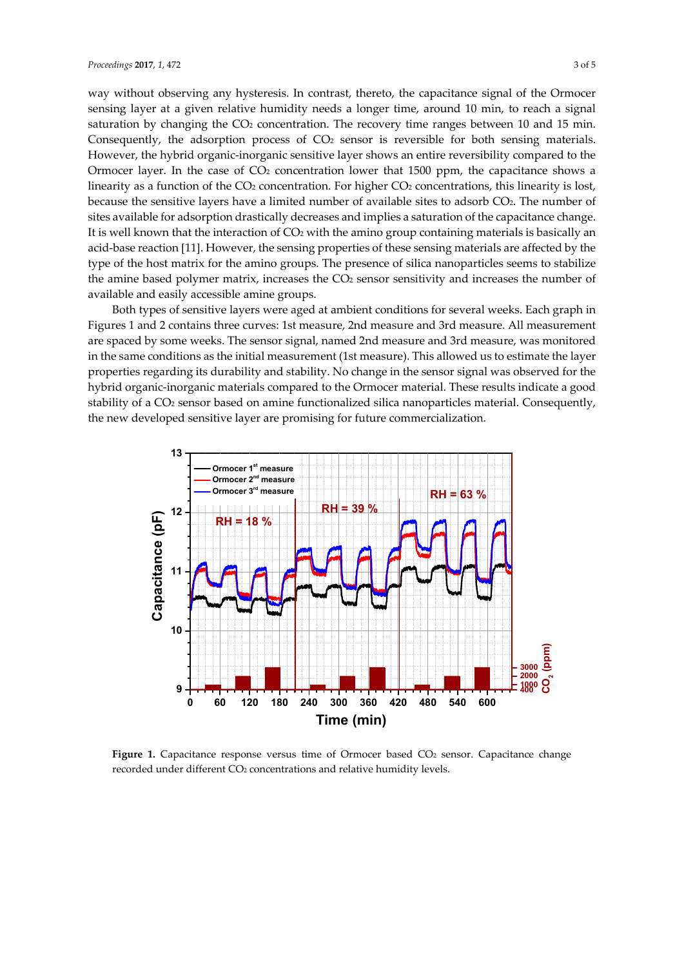way without observing any hysteresis. In contrast, thereto, the capacitance signal of the Ormocer sensing layer at a given relative humidity needs a longer time, around 10 min, to reach a signal saturation by changing the  $CO<sub>2</sub>$  concentration. The recovery time ranges between 10 and 15 min. Consequently, the adsorption process of  $CO<sub>2</sub>$  sensor is reversible for both sensing materials. However, the hybrid organic-inorganic sensitive layer shows an entire reversibility compared to the Ormocer layer. In the case of  $CO<sub>2</sub>$  concentration lower that 1500 ppm, the capacitance shows a linearity as a function of the  $CO<sub>2</sub>$  concentration. For higher  $CO<sub>2</sub>$  concentrations, this linearity is lost, because the sensitive layers have a limited number of available sites to adsorb CO2. The number of sites available for adsorption drastically decreases and implies a saturation of the capacitance change. It is well known that the interaction of  $CO<sub>2</sub>$  with the amino group containing materials is basically an acid-base reaction [11]. However, the sensing properties of these sensing materials are affected by the type of the host matrix for the amino groups. The presence of silica nanoparticles seems to stabilize the amine based polymer matrix, increases the CO2 sensor sensitivity and increases the number of available and easily accessible amine groups.

Both types of sensitive layers were aged at ambient conditions for several weeks. Each graph in Figures 1 and 2 contains three curves: 1st measure, 2nd measure and 3rd measure. All measurement are spaced by some weeks. The sensor signal, named 2nd measure and 3rd measure, was monitored in the same conditions as the initial measurement (1st measure). This allowed us to estimate the layer properties regarding its durability and stability. No change in the sensor signal was observed for the hybrid organic-inorganic materials compared to the Ormocer material. These results indicate a good stability of a CO2 sensor based on amine functionalized silica nanoparticles material. Consequently, the new developed sensitive layer are promising for future commercialization.



Figure 1. Capacitance response versus time of Ormocer based CO<sub>2</sub> sensor. Capacitance change recorded under different CO<sub>2</sub> concentrations and relative humidity levels.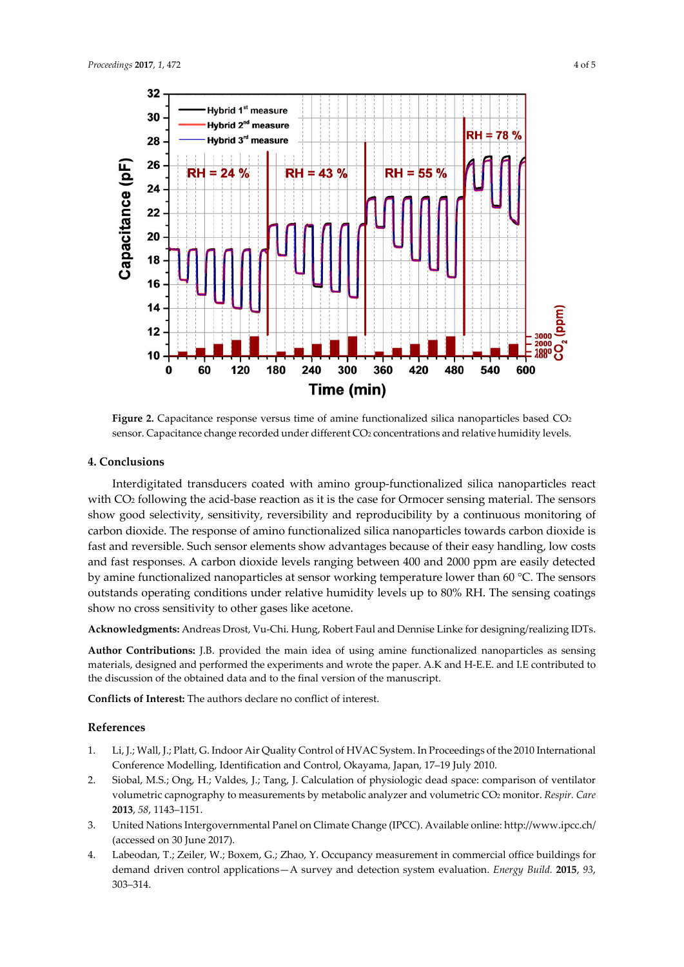

Figure 2. Capacitance response versus time of amine functionalized silica nanoparticles based CO<sub>2</sub> sensor. Capacitance change recorded under different CO<sub>2</sub> concentrations and relative humidity levels.

### **4. Conclusions**

Interdigitated transducers coated with amino group-functionalized silica nanoparticles react with CO<sub>2</sub> following the acid-base reaction as it is the case for Ormocer sensing material. The sensors show good selectivity, sensitivity, reversibility and reproducibility by a continuous monitoring of carbon dioxide. The response of amino functionalized silica nanoparticles towards carbon dioxide is fast and reversible. Such sensor elements show advantages because of their easy handling, low costs and fast responses. A carbon dioxide levels ranging between 400 and 2000 ppm are easily detected by amine functionalized nanoparticles at sensor working temperature lower than 60 °C. The sensors outstands operating conditions under relative humidity levels up to 80% RH. The sensing coatings show no cross sensitivity to other gases like acetone.

**Acknowledgments:** Andreas Drost, Vu-Chi. Hung, Robert Faul and Dennise Linke for designing/realizing IDTs.

**Author Contributions:** J.B. provided the main idea of using amine functionalized nanoparticles as sensing materials, designed and performed the experiments and wrote the paper. A.K and H-E.E. and I.E contributed to the discussion of the obtained data and to the final version of the manuscript.

**Conflicts of Interest:** The authors declare no conflict of interest.

## **References**

- 1. Li, J.; Wall, J.; Platt, G. Indoor Air Quality Control of HVAC System. In Proceedings of the 2010 International Conference Modelling, Identification and Control, Okayama, Japan, 17–19 July 2010.
- 2. Siobal, M.S.; Ong, H.; Valdes, J.; Tang, J. Calculation of physiologic dead space: comparison of ventilator volumetric capnography to measurements by metabolic analyzer and volumetric CO2 monitor. *Respir. Care* **2013**, *58*, 1143–1151.
- 3. United Nations Intergovernmental Panel on Climate Change (IPCC). Available online: http://www.ipcc.ch/ (accessed on 30 June 2017).
- 4. Labeodan, T.; Zeiler, W.; Boxem, G.; Zhao, Y. Occupancy measurement in commercial office buildings for demand driven control applications—A survey and detection system evaluation. *Energy Build.* **2015**, *93*, 303–314.